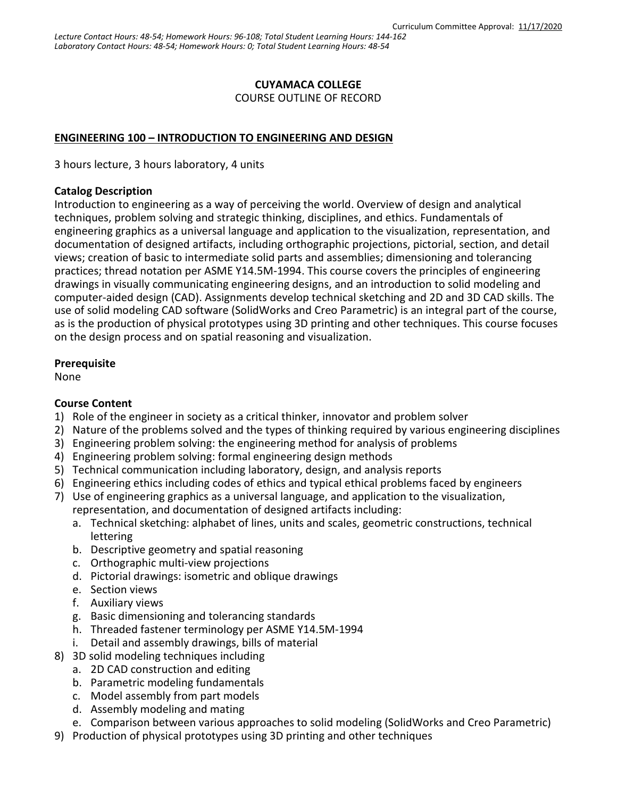## **CUYAMACA COLLEGE**

COURSE OUTLINE OF RECORD

## **ENGINEERING 100 – INTRODUCTION TO ENGINEERING AND DESIGN**

3 hours lecture, 3 hours laboratory, 4 units

#### **Catalog Description**

Introduction to engineering as a way of perceiving the world. Overview of design and analytical techniques, problem solving and strategic thinking, disciplines, and ethics. Fundamentals of engineering graphics as a universal language and application to the visualization, representation, and documentation of designed artifacts, including orthographic projections, pictorial, section, and detail views; creation of basic to intermediate solid parts and assemblies; dimensioning and tolerancing practices; thread notation per ASME Y14.5M-1994. This course covers the principles of engineering drawings in visually communicating engineering designs, and an introduction to solid modeling and computer-aided design (CAD). Assignments develop technical sketching and 2D and 3D CAD skills. The use of solid modeling CAD software (SolidWorks and Creo Parametric) is an integral part of the course, as is the production of physical prototypes using 3D printing and other techniques. This course focuses on the design process and on spatial reasoning and visualization.

## **Prerequisite**

None

## **Course Content**

- 1) Role of the engineer in society as a critical thinker, innovator and problem solver
- 2) Nature of the problems solved and the types of thinking required by various engineering disciplines
- 3) Engineering problem solving: the engineering method for analysis of problems
- 4) Engineering problem solving: formal engineering design methods
- 5) Technical communication including laboratory, design, and analysis reports
- 6) Engineering ethics including codes of ethics and typical ethical problems faced by engineers
- 7) Use of engineering graphics as a universal language, and application to the visualization, representation, and documentation of designed artifacts including:
	- a. Technical sketching: alphabet of lines, units and scales, geometric constructions, technical lettering
	- b. Descriptive geometry and spatial reasoning
	- c. Orthographic multi-view projections
	- d. Pictorial drawings: isometric and oblique drawings
	- e. Section views
	- f. Auxiliary views
	- g. Basic dimensioning and tolerancing standards
	- h. Threaded fastener terminology per ASME Y14.5M-1994
	- i. Detail and assembly drawings, bills of material
- 8) 3D solid modeling techniques including
	- a. 2D CAD construction and editing
	- b. Parametric modeling fundamentals
	- c. Model assembly from part models
	- d. Assembly modeling and mating
	- e. Comparison between various approaches to solid modeling (SolidWorks and Creo Parametric)
- 9) Production of physical prototypes using 3D printing and other techniques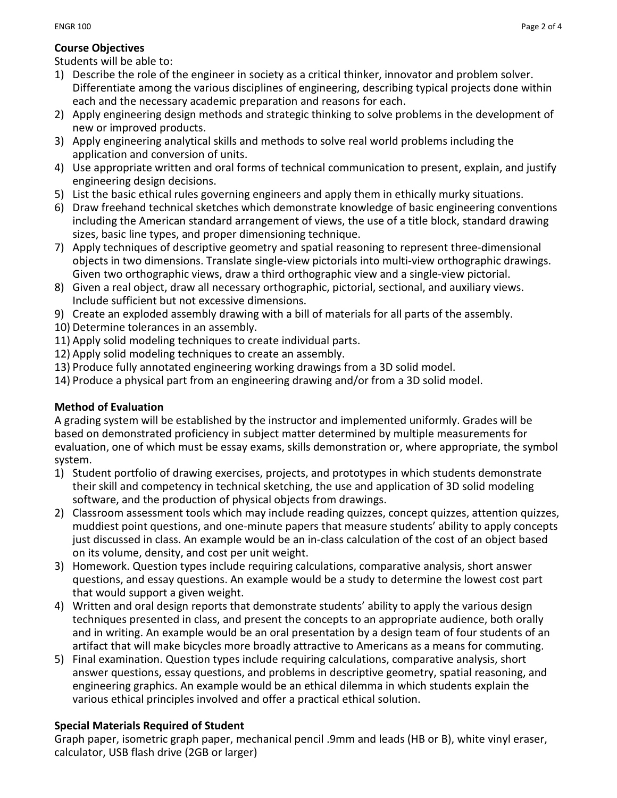## **Course Objectives**

Students will be able to:

- 1) Describe the role of the engineer in society as a critical thinker, innovator and problem solver. Differentiate among the various disciplines of engineering, describing typical projects done within each and the necessary academic preparation and reasons for each.
- 2) Apply engineering design methods and strategic thinking to solve problems in the development of new or improved products.
- 3) Apply engineering analytical skills and methods to solve real world problems including the application and conversion of units.
- 4) Use appropriate written and oral forms of technical communication to present, explain, and justify engineering design decisions.
- 5) List the basic ethical rules governing engineers and apply them in ethically murky situations.
- 6) Draw freehand technical sketches which demonstrate knowledge of basic engineering conventions including the American standard arrangement of views, the use of a title block, standard drawing sizes, basic line types, and proper dimensioning technique.
- 7) Apply techniques of descriptive geometry and spatial reasoning to represent three-dimensional objects in two dimensions. Translate single-view pictorials into multi-view orthographic drawings. Given two orthographic views, draw a third orthographic view and a single-view pictorial.
- 8) Given a real object, draw all necessary orthographic, pictorial, sectional, and auxiliary views. Include sufficient but not excessive dimensions.
- 9) Create an exploded assembly drawing with a bill of materials for all parts of the assembly.
- 10) Determine tolerances in an assembly.
- 11) Apply solid modeling techniques to create individual parts.
- 12) Apply solid modeling techniques to create an assembly.
- 13) Produce fully annotated engineering working drawings from a 3D solid model.
- 14) Produce a physical part from an engineering drawing and/or from a 3D solid model.

# **Method of Evaluation**

A grading system will be established by the instructor and implemented uniformly. Grades will be based on demonstrated proficiency in subject matter determined by multiple measurements for evaluation, one of which must be essay exams, skills demonstration or, where appropriate, the symbol system.

- 1) Student portfolio of drawing exercises, projects, and prototypes in which students demonstrate their skill and competency in technical sketching, the use and application of 3D solid modeling software, and the production of physical objects from drawings.
- 2) Classroom assessment tools which may include reading quizzes, concept quizzes, attention quizzes, muddiest point questions, and one-minute papers that measure students' ability to apply concepts just discussed in class. An example would be an in-class calculation of the cost of an object based on its volume, density, and cost per unit weight.
- 3) Homework. Question types include requiring calculations, comparative analysis, short answer questions, and essay questions. An example would be a study to determine the lowest cost part that would support a given weight.
- 4) Written and oral design reports that demonstrate students' ability to apply the various design techniques presented in class, and present the concepts to an appropriate audience, both orally and in writing. An example would be an oral presentation by a design team of four students of an artifact that will make bicycles more broadly attractive to Americans as a means for commuting.
- 5) Final examination. Question types include requiring calculations, comparative analysis, short answer questions, essay questions, and problems in descriptive geometry, spatial reasoning, and engineering graphics. An example would be an ethical dilemma in which students explain the various ethical principles involved and offer a practical ethical solution.

# **Special Materials Required of Student**

Graph paper, isometric graph paper, mechanical pencil .9mm and leads (HB or B), white vinyl eraser, calculator, USB flash drive (2GB or larger)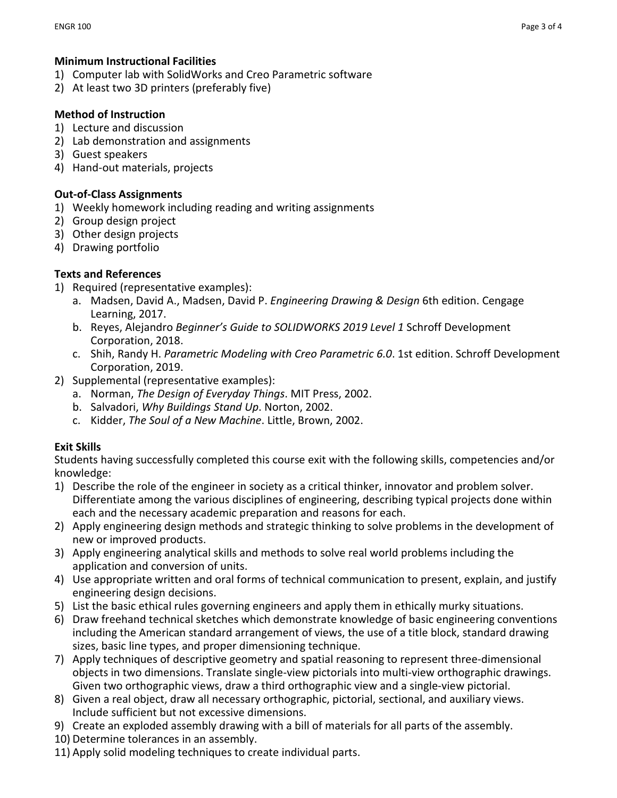## **Minimum Instructional Facilities**

- 1) Computer lab with SolidWorks and Creo Parametric software
- 2) At least two 3D printers (preferably five)

## **Method of Instruction**

- 1) Lecture and discussion
- 2) Lab demonstration and assignments
- 3) Guest speakers
- 4) Hand-out materials, projects

## **Out-of-Class Assignments**

- 1) Weekly homework including reading and writing assignments
- 2) Group design project
- 3) Other design projects
- 4) Drawing portfolio

## **Texts and References**

- 1) Required (representative examples):
	- a. Madsen, David A., Madsen, David P. *Engineering Drawing & Design* 6th edition. Cengage Learning, 2017.
	- b. Reyes, Alejandro *Beginner's Guide to SOLIDWORKS 2019 Level 1* Schroff Development Corporation, 2018.
	- c. Shih, Randy H. *Parametric Modeling with Creo Parametric 6.0*. 1st edition. Schroff Development Corporation, 2019.
- 2) Supplemental (representative examples):
	- a. Norman, *The Design of Everyday Things*. MIT Press, 2002.
	- b. Salvadori, *Why Buildings Stand Up*. Norton, 2002.
	- c. Kidder, *The Soul of a New Machine*. Little, Brown, 2002.

## **Exit Skills**

Students having successfully completed this course exit with the following skills, competencies and/or knowledge:

- 1) Describe the role of the engineer in society as a critical thinker, innovator and problem solver. Differentiate among the various disciplines of engineering, describing typical projects done within each and the necessary academic preparation and reasons for each.
- 2) Apply engineering design methods and strategic thinking to solve problems in the development of new or improved products.
- 3) Apply engineering analytical skills and methods to solve real world problems including the application and conversion of units.
- 4) Use appropriate written and oral forms of technical communication to present, explain, and justify engineering design decisions.
- 5) List the basic ethical rules governing engineers and apply them in ethically murky situations.
- 6) Draw freehand technical sketches which demonstrate knowledge of basic engineering conventions including the American standard arrangement of views, the use of a title block, standard drawing sizes, basic line types, and proper dimensioning technique.
- 7) Apply techniques of descriptive geometry and spatial reasoning to represent three-dimensional objects in two dimensions. Translate single-view pictorials into multi-view orthographic drawings. Given two orthographic views, draw a third orthographic view and a single-view pictorial.
- 8) Given a real object, draw all necessary orthographic, pictorial, sectional, and auxiliary views. Include sufficient but not excessive dimensions.
- 9) Create an exploded assembly drawing with a bill of materials for all parts of the assembly.
- 10) Determine tolerances in an assembly.
- 11) Apply solid modeling techniques to create individual parts.